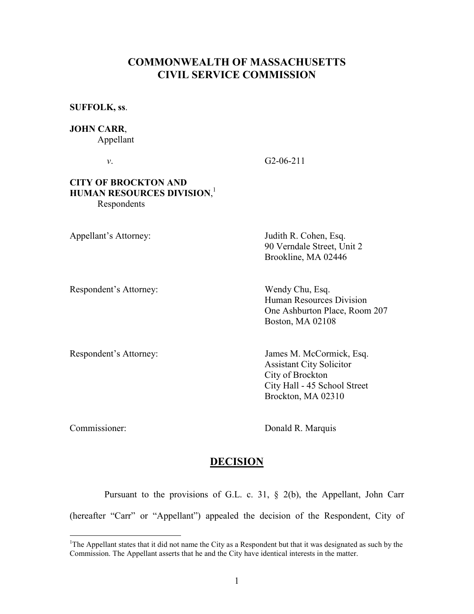# COMMONWEALTH OF MASSACHUSETTS CIVIL SERVICE COMMISSION

SUFFOLK, ss.

#### JOHN CARR,

Appellant

v. G2-06-211

#### CITY OF BROCKTON AND HUMAN RESOURCES DIVISION, 1 Respondents

Appellant's Attorney: Judith R. Cohen, Esq. 90 Verndale Street, Unit 2 Brookline, MA 02446

Respondent's Attorney: Wendy Chu, Esq.

 Human Resources Division One Ashburton Place, Room 207 Boston, MA 02108

Respondent's Attorney: James M. McCormick, Esq. Assistant City Solicitor City of Brockton City Hall - 45 School Street Brockton, MA 02310

l

Commissioner: Donald R. Marquis

## DECISION

 Pursuant to the provisions of G.L. c. 31, § 2(b), the Appellant, John Carr (hereafter "Carr" or "Appellant") appealed the decision of the Respondent, City of

<sup>&</sup>lt;sup>1</sup>The Appellant states that it did not name the City as a Respondent but that it was designated as such by the Commission. The Appellant asserts that he and the City have identical interests in the matter.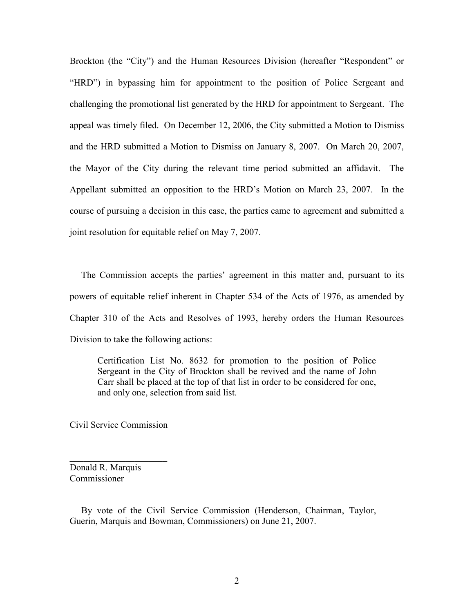Brockton (the "City") and the Human Resources Division (hereafter "Respondent" or "HRD") in bypassing him for appointment to the position of Police Sergeant and challenging the promotional list generated by the HRD for appointment to Sergeant. The appeal was timely filed. On December 12, 2006, the City submitted a Motion to Dismiss and the HRD submitted a Motion to Dismiss on January 8, 2007. On March 20, 2007, the Mayor of the City during the relevant time period submitted an affidavit. The Appellant submitted an opposition to the HRD's Motion on March 23, 2007. In the course of pursuing a decision in this case, the parties came to agreement and submitted a joint resolution for equitable relief on May 7, 2007.

 The Commission accepts the parties' agreement in this matter and, pursuant to its powers of equitable relief inherent in Chapter 534 of the Acts of 1976, as amended by Chapter 310 of the Acts and Resolves of 1993, hereby orders the Human Resources Division to take the following actions:

Certification List No. 8632 for promotion to the position of Police Sergeant in the City of Brockton shall be revived and the name of John Carr shall be placed at the top of that list in order to be considered for one, and only one, selection from said list.

Civil Service Commission

 $\overline{\phantom{a}}$  , which is a set of the set of the set of the set of the set of the set of the set of the set of the set of the set of the set of the set of the set of the set of the set of the set of the set of the set of th

Donald R. Marquis Commissioner

 By vote of the Civil Service Commission (Henderson, Chairman, Taylor, Guerin, Marquis and Bowman, Commissioners) on June 21, 2007.